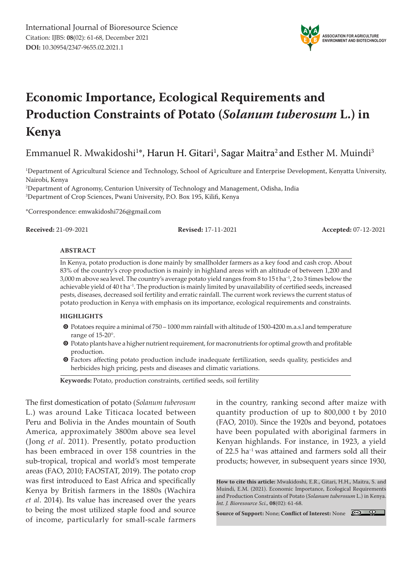

# **Economic Importance, Ecological Requirements and Production Constraints of Potato (***Solanum tuberosum* **L.) in Kenya**

Emmanuel R. Mwakidoshi<sup>1</sup>\*, Harun H. Gitari<sup>1</sup>, Sagar Maitra<sup>2</sup> and Esther M. Muindi<sup>3</sup>

1 Department of Agricultural Science and Technology, School of Agriculture and Enterprise Development, Kenyatta University, Nairobi, Kenya

2 Department of Agronomy, Centurion University of Technology and Management, Odisha, India 3 Department of Crop Sciences, Pwani University, P.O. Box 195, Kilifi, Kenya

\*Correspondence: emwakidoshi726@gmail.com

**Received:** 21-09-2021 **Revised:** 17-11-2021 **Accepted:** 07-12-2021

#### **ABSTRACT**

In Kenya, potato production is done mainly by smallholder farmers as a key food and cash crop. About 83% of the country's crop production is mainly in highland areas with an altitude of between 1,200 and 3,000 m above sea level. The country's average potato yield ranges from 8 to 15 t ha−1, 2 to 3 times below the achievable yield of 40 t ha−1. The production is mainly limited by unavailability of certified seeds, increased pests, diseases, decreased soil fertility and erratic rainfall. The current work reviews the current status of potato production in Kenya with emphasis on its importance, ecological requirements and constraints.

#### **HIGHLIGHTS**

- m Potatoes require a minimal of 750 1000 mm rainfall with altitude of 1500-4200 m.a.s.l and temperature range of 15-20°.
- $\bullet$  Potato plants have a higher nutrient requirement, for macronutrients for optimal growth and profitable production.
- m Factors affecting potato production include inadequate fertilization, seeds quality, pesticides and herbicides high pricing, pests and diseases and climatic variations.

**Keywords:** Potato, production constraints, certified seeds, soil fertility

The first domestication of potato (*Solanum tuberosum*  L.) was around Lake Titicaca located between Peru and Bolivia in the Andes mountain of South America, approximately 3800m above sea level (Jong *et al*. 2011). Presently, potato production has been embraced in over 158 countries in the sub-tropical, tropical and world's most temperate areas (FAO, 2010; FAOSTAT, 2019). The potato crop was first introduced to East Africa and specifically Kenya by British farmers in the 1880s (Wachira *et al*. 2014). Its value has increased over the years to being the most utilized staple food and source of income, particularly for small-scale farmers

in the country, ranking second after maize with quantity production of up to 800,000 t by 2010 (FAO, 2010). Since the 1920s and beyond, potatoes have been populated with aboriginal farmers in Kenyan highlands. For instance, in 1923, a yield of 22.5 ha−1 was attained and farmers sold all their products; however, in subsequent years since 1930,

**How to cite this article:** Mwakidoshi, E.R., Gitari, H.H., Maitra, S. and Muindi, E.M. (2021). Economic Importance, Ecological Requirements and Production Constraints of Potato (*Solanum tuberosum* L.) in Kenya. *Int. J. Bioresource Sci.,* **08**(02): 61-68.

**Source of Support:** None; **Conflict of Interest:** None

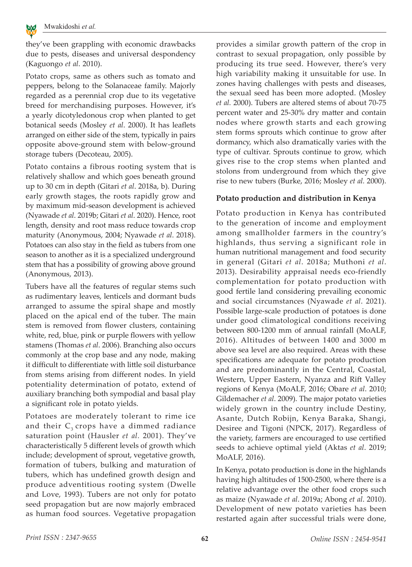

**ENVIRONMENT AND BIOTECHNOLOGY**

they've been grappling with economic drawbacks due to pests, diseases and universal despondency (Kaguongo *et al*. 2010).

Potato crops, same as others such as tomato and peppers, belong to the Solanaceae family. Majorly regarded as a perennial crop due to its vegetative breed for merchandising purposes. However, it's a yearly dicotyledonous crop when planted to get botanical seeds (Mosley *et al*. 2000). It has leaflets arranged on either side of the stem, typically in pairs opposite above-ground stem with below-ground storage tubers (Decoteau, 2005).

Potato contains a fibrous rooting system that is relatively shallow and which goes beneath ground up to 30 cm in depth (Gitari *et al*. 2018a, b). During early growth stages, the roots rapidly grow and by maximum mid-season development is achieved (Nyawade *et al*. 2019b; Gitari *et al*. 2020). Hence, root length, density and root mass reduce towards crop maturity (Anonymous, 2004; Nyawade *et al*. 2018). Potatoes can also stay in the field as tubers from one season to another as it is a specialized underground stem that has a possibility of growing above ground (Anonymous, 2013).

Tubers have all the features of regular stems such as rudimentary leaves, lenticels and dormant buds arranged to assume the spiral shape and mostly placed on the apical end of the tuber. The main stem is removed from flower clusters, containing white, red, blue, pink or purple flowers with yellow stamens (Thomas *et al*. 2006). Branching also occurs commonly at the crop base and any node, making it difficult to differentiate with little soil disturbance from stems arising from different nodes. In yield potentiality determination of potato, extend of auxiliary branching both sympodial and basal play a significant role in potato yields.

Potatoes are moderately tolerant to rime ice and their  $C_3$  crops have a dimmed radiance saturation point (Hausler *et al.* 2001). They've characteristically 5 different levels of growth which include; development of sprout, vegetative growth, formation of tubers, bulking and maturation of tubers, which has undefined growth design and produce adventitious rooting system (Dwelle and Love, 1993). Tubers are not only for potato seed propagation but are now majorly embraced as human food sources. Vegetative propagation

provides a similar growth pattern of the crop in contrast to sexual propagation, only possible by producing its true seed. However, there's very high variability making it unsuitable for use. In zones having challenges with pests and diseases, the sexual seed has been more adopted. (Mosley *et al.* 2000). Tubers are altered stems of about 70-75 percent water and 25-30% dry matter and contain nodes where growth starts and each growing stem forms sprouts which continue to grow after dormancy, which also dramatically varies with the type of cultivar. Sprouts continue to grow, which gives rise to the crop stems when planted and stolons from underground from which they give rise to new tubers (Burke, 2016; Mosley *et al.* 2000).

### **Potato production and distribution in Kenya**

Potato production in Kenya has contributed to the generation of income and employment among smallholder farmers in the country's highlands, thus serving a significant role in human nutritional management and food security in general (Gitari *et al*. 2018a; Muthoni *et al*. 2013). Desirability appraisal needs eco-friendly complementation for potato production with good fertile land considering prevailing economic and social circumstances (Nyawade *et al*. 2021). Possible large-scale production of potatoes is done under good climatological conditions receiving between 800-1200 mm of annual rainfall (MoALF, 2016). Altitudes of between 1400 and 3000 m above sea level are also required. Areas with these specifications are adequate for potato production and are predominantly in the Central, Coastal, Western, Upper Eastern, Nyanza and Rift Valley regions of Kenya (MoALF, 2016; Obare *et al*. 2010; Gildemacher *et al*. 2009). The major potato varieties widely grown in the country include Destiny, Asante, Dutch Robijn, Kenya Baraka, Shangi, Desiree and Tigoni (NPCK, 2017). Regardless of the variety, farmers are encouraged to use certified seeds to achieve optimal yield (Aktas *et al*. 2019; MoALF, 2016).

In Kenya, potato production is done in the highlands having high altitudes of 1500-2500, where there is a relative advantage over the other food crops such as maize (Nyawade *et al*. 2019a; Abong *et al*. 2010). Development of new potato varieties has been restarted again after successful trials were done,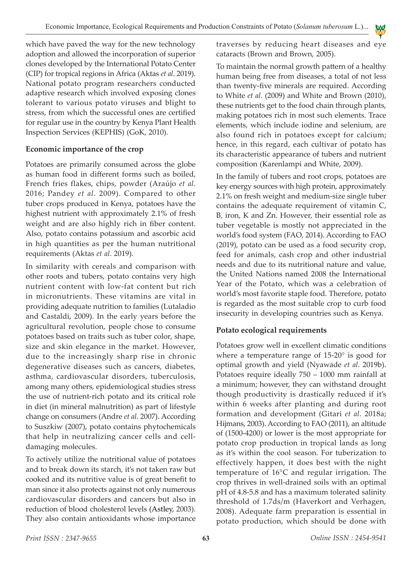which have paved the way for the new technology adoption and allowed the incorporation of superior clones developed by the International Potato Center (CIP) for tropical regions in Africa (Aktas *et al*. 2019). National potato program researchers conducted adaptive research which involved exposing clones tolerant to various potato viruses and blight to stress, from which the successful ones are certified for regular use in the country by Kenya Plant Health Inspection Services (KEPHIS) (GoK, 2010).

## **Economic importance of the crop**

Potatoes are primarily consumed across the globe as human food in different forms such as boiled, French fries flakes, chips, powder (Araújo *et al*. 2016; Pandey *et al*. 2009). Compared to other tuber crops produced in Kenya, potatoes have the highest nutrient with approximately 2.1% of fresh weight and are also highly rich in fiber content. Also, potato contains potassium and ascorbic acid in high quantities as per the human nutritional requirements (Aktas *et al*. 2019).

In similarity with cereals and comparison with other roots and tubers, potato contains very high nutrient content with low-fat content but rich in micronutrients. These vitamins are vital in providing adequate nutrition to families (Lutaladio and Castaldi, 2009). In the early years before the agricultural revolution, people chose to consume potatoes based on traits such as tuber color, shape, size and skin elegance in the market. However, due to the increasingly sharp rise in chronic degenerative diseases such as cancers, diabetes, asthma, cardiovascular disorders, tuberculosis, among many others, epidemiological studies stress the use of nutrient-rich potato and its critical role in diet (in mineral malnutrition) as part of lifestyle change on consumers (Andre *et al*. 2007). According to Suszkiw (2007), potato contains phytochemicals that help in neutralizing cancer cells and celldamaging molecules.

To actively utilize the nutritional value of potatoes and to break down its starch, it's not taken raw but cooked and its nutritive value is of great benefit to man since it also protects against not only numerous cardiovascular disorders and cancers but also in reduction of blood cholesterol levels (Astley, 2003). They also contain antioxidants whose importance

traverses by reducing heart diseases and eye cataracts (Brown and Brown, 2005).

**A** E Y B

To maintain the normal growth pattern of a healthy human being free from diseases, a total of not less than twenty-five minerals are required. According to White *et al*. (2009) and White and Brown (2010), these nutrients get to the food chain through plants, making potatoes rich in most such elements. Trace elements, which include iodine and selenium, are also found rich in potatoes except for calcium; hence, in this regard, each cultivar of potato has its characteristic appearance of tubers and nutrient composition (Karenlampi and White, 2009).

In the family of tubers and root crops, potatoes are key energy sources with high protein, approximately 2.1% on fresh weight and medium-size single tuber contains the adequate requirement of vitamin C, B, iron, K and Zn. However, their essential role as tuber vegetable is mostly not appreciated in the world's food system (FAO, 2014). According to FAO (2019), potato can be used as a food security crop, feed for animals, cash crop and other industrial needs and due to its nutritional nature and value, the United Nations named 2008 the International Year of the Potato, which was a celebration of world's most favorite staple food. Therefore, potato is regarded as the most suitable crop to curb food insecurity in developing countries such as Kenya.

# **Potato ecological requirements**

Potatoes grow well in excellent climatic conditions where a temperature range of 15-20° is good for optimal growth and yield (Nyawade *et al*. 2019b). Potatoes require ideally 750 – 1000 mm rainfall at a minimum; however, they can withstand drought though productivity is drastically reduced if it's within 6 weeks after planting and during root formation and development (Gitari *et al*. 2018a; Hijmans, 2003). According to FAO (2011), an altitude of (1500-4200) or lower is the most appropriate for potato crop production in tropical lands as long as it's within the cool season. For tuberization to effectively happen, it does best with the night temperature of 16°C and regular irrigation. The crop thrives in well-drained soils with an optimal pH of 4.8-5.8 and has a maximum tolerated salinity threshold of 1.7ds/m (Haverkort and Verhagen, 2008). Adequate farm preparation is essential in potato production, which should be done with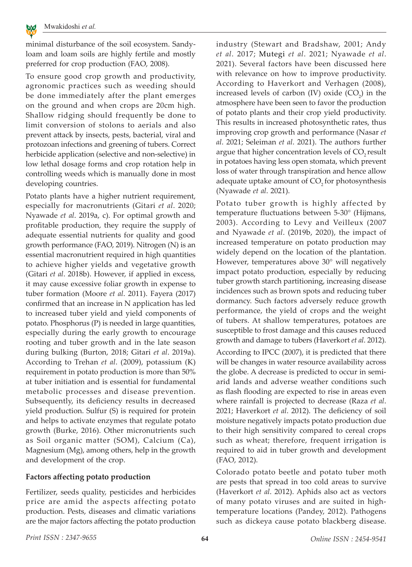

**ENVIRONMENT AND BIOTECHNOLOGY**

minimal disturbance of the soil ecosystem. Sandyloam and loam soils are highly fertile and mostly preferred for crop production (FAO, 2008).

To ensure good crop growth and productivity, agronomic practices such as weeding should be done immediately after the plant emerges on the ground and when crops are 20cm high. Shallow ridging should frequently be done to limit conversion of stolons to aerials and also prevent attack by insects, pests, bacterial, viral and protozoan infections and greening of tubers. Correct herbicide application (selective and non-selective) in low lethal dosage forms and crop rotation help in controlling weeds which is manually done in most developing countries.

Potato plants have a higher nutrient requirement, especially for macronutrients (Gitari *et al*. 2020; Nyawade *et al*. 2019a, c). For optimal growth and profitable production, they require the supply of adequate essential nutrients for quality and good growth performance (FAO, 2019). Nitrogen (N) is an essential macronutrient required in high quantities to achieve higher yields and vegetative growth (Gitari *et al*. 2018b). However, if applied in excess, it may cause excessive foliar growth in expense to tuber formation (Moore *et al*. 2011). Fayera (2017) confirmed that an increase in N application has led to increased tuber yield and yield components of potato. Phosphorus (P) is needed in large quantities, especially during the early growth to encourage rooting and tuber growth and in the late season during bulking (Burton, 2018; Gitari *et al*. 2019a). According to Trehan *et al*. (2009), potassium (K) requirement in potato production is more than 50% at tuber initiation and is essential for fundamental metabolic processes and disease prevention. Subsequently, its deficiency results in decreased yield production. Sulfur (S) is required for protein and helps to activate enzymes that regulate potato growth (Burke, 2016). Other micronutrients such as Soil organic matter (SOM), Calcium (Ca), Magnesium (Mg), among others, help in the growth and development of the crop.

#### **Factors affecting potato production**

Fertilizer, seeds quality, pesticides and herbicides price are amid the aspects affecting potato production. Pests, diseases and climatic variations are the major factors affecting the potato production industry (Stewart and Bradshaw, 2001; Andy *et al*. 2017; Mutegi *et al*. 2021; Nyawade *et al*. 2021). Several factors have been discussed here with relevance on how to improve productivity. According to Haverkort and Verhagen (2008), increased levels of carbon  $(IV)$  oxide  $(CO<sub>2</sub>)$  in the atmosphere have been seen to favor the production of potato plants and their crop yield productivity. This results in increased photosynthetic rates, thus improving crop growth and performance (Nasar *et al*. 2021; Seleiman *et al*. 2021). The authors further argue that higher concentration levels of  $CO$ <sub>2</sub> result in potatoes having less open stomata, which prevent loss of water through transpiration and hence allow adequate uptake amount of  $CO$ , for photosynthesis (Nyawade *et al*. 2021).

Potato tuber growth is highly affected by temperature fluctuations between 5-30° (Hijmans, 2003). According to Levy and Veilleux (2007 and Nyawade *et al*. (2019b, 2020), the impact of increased temperature on potato production may widely depend on the location of the plantation. However, temperatures above 30° will negatively impact potato production, especially by reducing tuber growth starch partitioning, increasing disease incidences such as brown spots and reducing tuber dormancy. Such factors adversely reduce growth performance, the yield of crops and the weight of tubers. At shallow temperatures, potatoes are susceptible to frost damage and this causes reduced growth and damage to tubers (Haverkort *et al*. 2012). According to IPCC (2007), it is predicted that there will be changes in water resource availability across

the globe. A decrease is predicted to occur in semiarid lands and adverse weather conditions such as flash flooding are expected to rise in areas even where rainfall is projected to decrease (Raza *et al*. 2021; Haverkort *et al*. 2012). The deficiency of soil moisture negatively impacts potato production due to their high sensitivity compared to cereal crops such as wheat; therefore, frequent irrigation is required to aid in tuber growth and development (FAO, 2012).

Colorado potato beetle and potato tuber moth are pests that spread in too cold areas to survive (Haverkort *et al*. 2012). Aphids also act as vectors of many potato viruses and are suited in hightemperature locations (Pandey, 2012). Pathogens such as dickeya cause potato blackberg disease.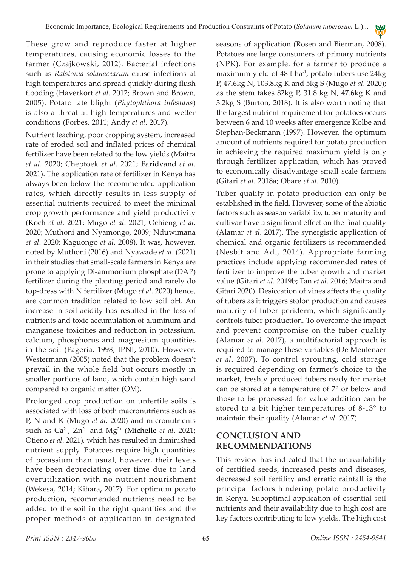These grow and reproduce faster at higher temperatures, causing economic losses to the farmer (Czajkowski, 2012). Bacterial infections such as *Ralstonia solanacearum* cause infections at high temperatures and spread quickly during flush flooding (Haverkort *et al*. 2012; Brown and Brown, 2005). Potato late blight (*Phytophthora infestans*) is also a threat at high temperatures and wetter conditions (Forbes, 2011; Andy *et al*. 2017).

Nutrient leaching, poor cropping system, increased rate of eroded soil and inflated prices of chemical fertilizer have been related to the low yields (Maitra *et al*. 2020; Cheptoek *et al*. 2021; Faridvand *et al*. 2021). The application rate of fertilizer in Kenya has always been below the recommended application rates, which directly results in less supply of essential nutrients required to meet the minimal crop growth performance and yield productivity (Koch *et al*. 2021; Mugo *et al*. 2021; Ochieng *et al*. 2020; Muthoni and Nyamongo, 2009; Nduwimana *et al*. 2020; Kaguongo *et al*. 2008). It was, however, noted by Muthoni (2016) and Nyawade *et al*. (2021) in their studies that small-scale farmers in Kenya are prone to applying Di-ammonium phosphate (DAP) fertilizer during the planting period and rarely do top-dress with N fertilizer (Mugo *et al*. 2020) hence, are common tradition related to low soil pH. An increase in soil acidity has resulted in the loss of nutrients and toxic accumulation of aluminum and manganese toxicities and reduction in potassium, calcium, phosphorus and magnesium quantities in the soil (Fageria, 1998; IPNI, 2010). However, Westermann (2005) noted that the problem doesn't prevail in the whole field but occurs mostly in smaller portions of land, which contain high sand compared to organic matter (OM).

Prolonged crop production on unfertile soils is associated with loss of both macronutrients such as P, N and K (Mugo *et al*. 2020) and micronutrients such as Ca<sup>2+</sup>, Zn<sup>2+</sup> and Mg<sup>2+</sup> (Michelle *et al.* 2021; Otieno *et al*. 2021), which has resulted in diminished nutrient supply. Potatoes require high quantities of potassium than usual, however, their levels have been depreciating over time due to land overutilization with no nutrient nourishment (Wekesa, 2014; Kihara**,** 2017). For optimum potato production, recommended nutrients need to be added to the soil in the right quantities and the proper methods of application in designated seasons of application (Rosen and Bierman, 2008). Potatoes are large consumers of primary nutrients (NPK). For example, for a farmer to produce a maximum yield of  $48$  t ha<sup>-1</sup>, potato tubers use  $24\text{kg}$ P, 47.6kg N, 103.8kg K and 5kg S (Mugo *et al*. 2020); as the stem takes 82kg P, 31.8 kg N, 47.6kg K and 3.2kg S (Burton, 2018). It is also worth noting that the largest nutrient requirement for potatoes occurs between 6 and 10 weeks after emergence Kolbe and Stephan-Beckmann (1997). However, the optimum amount of nutrients required for potato production in achieving the required maximum yield is only through fertilizer application, which has proved to economically disadvantage small scale farmers (Gitari *et al*. 2018a; Obare *et al*. 2010).

**A** E Y B

Tuber quality in potato production can only be established in the field. However, some of the abiotic factors such as season variability, tuber maturity and cultivar have a significant effect on the final quality (Alamar *et al*. 2017). The synergistic application of chemical and organic fertilizers is recommended (Nesbit and Adl, 2014). Appropriate farming practices include applying recommended rates of fertilizer to improve the tuber growth and market value (Gitari *et al*. 2019b; Tan *et al*. 2016; Maitra and Gitari 2020). Desiccation of vines affects the quality of tubers as it triggers stolon production and causes maturity of tuber periderm, which significantly controls tuber production. To overcome the impact and prevent compromise on the tuber quality (Alamar *et al*. 2017), a multifactorial approach is required to manage these variables (De Meulenaer *et al*. 2007). To control sprouting, cold storage is required depending on farmer's choice to the market, freshly produced tubers ready for market can be stored at a temperature of 7° or below and those to be processed for value addition can be stored to a bit higher temperatures of 8-13° to maintain their quality (Alamar *et al*. 2017).

# **CONCLUSION AND RECOMMENDATIONS**

This review has indicated that the unavailability of certified seeds, increased pests and diseases, decreased soil fertility and erratic rainfall is the principal factors hindering potato productivity in Kenya. Suboptimal application of essential soil nutrients and their availability due to high cost are key factors contributing to low yields. The high cost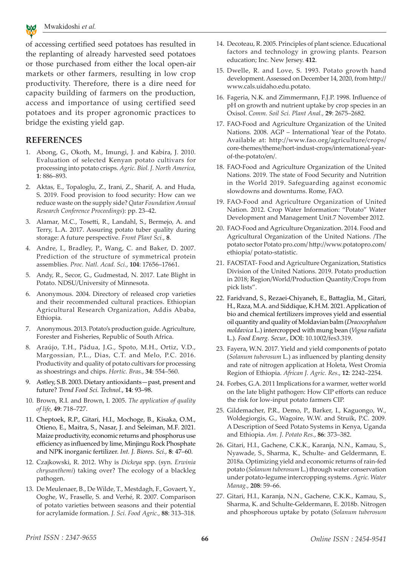

**ENVIRONMENT AND BIOTECHNOLOGY**

of accessing certified seed potatoes has resulted in the replanting of already harvested seed potatoes or those purchased from either the local open-air markets or other farmers, resulting in low crop productivity. Therefore, there is a dire need for capacity building of farmers on the production, access and importance of using certified seed potatoes and its proper agronomic practices to bridge the existing yield gap.

#### **REFERENCES**

- 1. Abong, G., Okoth, M., Imungi, J. and Kabira, J. 2010. Evaluation of selected Kenyan potato cultivars for processing into potato crisps. *Agric. Biol. J. North America*, **1**: 886–893.
- 2. Aktas, E., Topaloglu, Z., Irani, Z., Sharif, A. and Huda, S. 2019. Food provision to food security: How can we reduce waste on the supply side? *Qatar Foundation Annual Research Conference Proceedings*): pp. 23–42.
- 3. Alamar, M.C., Tosetti, R., Landahl, S., Bermejo, A. and Terry, L.A. 2017. Assuring potato tuber quality during storage: A future perspective. *Front Plant Sci.*, **8**.
- 4. Andre, I., Bradley, P., Wang, C. and Baker, D. 2007. Prediction of the structure of symmetrical protein assemblies. *Proc. Natl. Acad. Sci.*, **104**: 17656–17661.
- 5. Andy, R., Secor, G., Gudmestad, N. 2017. Late Blight in Potato. NDSU/University of Minnesota.
- 6. Anonymous. 2004. Directory of released crop varieties and their recommended cultural practices. Ethiopian Agricultural Research Organization, Addis Ababa, Ethiopia.
- 7. Anonymous. 2013. Potato's production guide. Agriculture, Forester and Fisheries, Republic of South Africa.
- 8. Araújo, T.H., Pádua, J.G., Spoto, M.H., Ortiz, V.D., Margossian, P.L., Dias, C.T. and Melo, P.C. 2016. Productivity and quality of potato cultivars for processing as shoestrings and chips. *Hortic. Bras.*, **34**: 554–560.
- 9. Astley, S.B. 2003. Dietary antioxidants—past, present and future? *Trend Food Sci. Technol.*, **14**: 93–98.
- 10. Brown, R.I. and Brown, I. 2005. *The application of quality of life,* **49**: 718–727.
- 11. Cheptoek, R.P., Gitari, H.I., Mochoge, B., Kisaka, O.M., Otieno, E., Maitra, S., Nasar, J. and Seleiman, M.F. 2021. Maize productivity, economic returns and phosphorus use efficiency as influenced by lime, Minjingu Rock Phosphate and NPK inorganic fertilizer. *Int. J. Biores. Sci.,* **8**: 47–60.
- 12. Czajkowski, R. 2012. Why is *Dickeya* spp. (syn. *Erwinia chrysanthemi*) taking over? The ecology of a blackleg pathogen.
- 13. De Meulenaer, B., De Wilde, T., Mestdagh, F., Govaert, Y., Ooghe, W., Fraselle, S. and Verhé, R. 2007. Comparison of potato varieties between seasons and their potential for acrylamide formation. *J. Sci. Food Agric.*, **88**: 313–318.
- 14. Decoteau, R. 2005. Principles of plant science. Educational factors and technology in growing plants. Pearson education; Inc. New Jersey. **412**.
- 15. Dwelle, R. and Love, S. 1993. Potato growth hand development. Assessed on December 14, 2020, from http:// www.cals.uidaho.edu.potato.
- 16. Fageria, N.K. and Zimmermann, F.J.P. 1998. Influence of pH on growth and nutrient uptake by crop species in an Oxisol. *Comm. Soil Sci. Plant Anal.*, **29**: 2675–2682.
- 17. FAO-Food and Agriculture Organization of the United Nations. 2008. AGP – International Year of the Potato. Available at: http://www.fao.org/agriculture/crops/ core-themes/theme/hort-indust-crops/international-yearof-the-potato/en/.
- 18. FAO-Food and Agriculture Organization of the United Nations. 2019. The state of Food Security and Nutrition in the World 2019. Safeguarding against economic slowdowns and downturns. Rome, FAO.
- 19. FAO-Food and Agriculture Organization of United Nation. 2012. Crop Water Information: "Potato" Water Development and Management Unit.7 November 2012.
- 20. FAO-Food and Agriculture Organization. 2014. Food and Agricultural Organization of the United Nations. /The potato sector Potato pro.com/ http://www.potatopro.com/ ethiopia/ potato-statistic.
- 21. FAOSTAT- Food and Agriculture Organization, Statistics Division of the United Nations. 2019. Potato production in 2018; Region/World/Production Quantity/Crops from pick lists".
- 22. Faridvand, S., Rezaei-Chiyaneh, E., Battaglia, M., Gitari, H., Raza, M.A. and Siddique, K.H.M. 2021. Application of bio and chemical fertilizers improves yield and essential oil quantity and quality of Moldavian balm (*Dracocephalum moldavica* L.) intercropped with mung bean (*Vigna radiata* L.). *Food Energ. Secur.*, DOI: 10.1002/fes3.319.
- 23. Fayera, W.N. 2017. Yield and yield components of potato (*Solanum tuberosum* L.) as influenced by planting density and rate of nitrogen application at Holeta, West Oromia Region of Ethiopia. *African J. Agric. Res*., **12**: 2242–2254.
- 24. Forbes, G.A. 2011 Implications for a warmer, wetter world on the late blight pathogen: How CIP efforts can reduce the risk for low-input potato farmers CIP.
- 25. Gildemacher, P.R., Demo, P., Barker, I., Kaguongo, W., Woldegiorgis, G., Wagoire, W.W. and Struik, P.C. 2009. A Description of Seed Potato Systems in Kenya, Uganda and Ethiopia. *Am. J. Potato Res.*, **86**: 373–382.
- 26. Gitari, H.I., Gachene, C.K.K., Karanja, N.N., Kamau, S., Nyawade, S., Sharma, K., Schulte- and Geldermann, E. 2018a. Optimizing yield and economic returns of rain-fed potato (*Solanum tuberosum* L.) through water conservation under potato-legume intercropping systems. *Agric. Water Manag.*, **208**: 59–66.
- 27. Gitari, H.I., Karanja, N.N., Gachene, C.K.K., Kamau, S., Sharma, K. and Schulte-Geldermann, E. 2018b. Nitrogen and phosphorous uptake by potato (*Solanum tuberosum*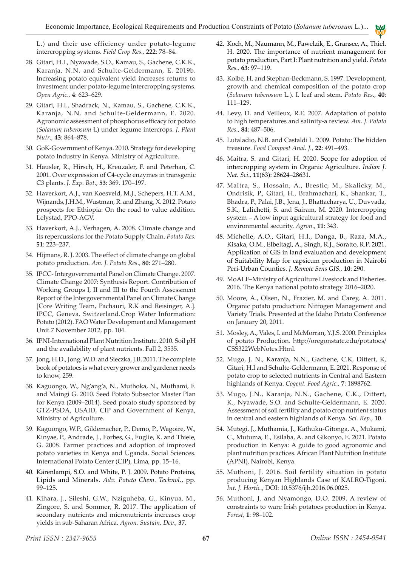L.) and their use efficiency under potato-legume intercropping systems. *Field Crop Res.,* **222**: 78–84.

- 28. Gitari, H.I., Nyawade, S.O., Kamau, S., Gachene, C.K.K., Karanja, N.N. and Schulte-Geldermann, E. 2019b. Increasing potato equivalent yield increases returns to investment under potato-legume intercropping systems. *Open Agric.,* **4**: 623–629.
- 29. Gitari, H.I., Shadrack, N., Kamau, S., Gachene, C.K.K., Karanja, N.N. and Schulte-Geldermann, E. 2020. Agronomic assessment of phosphorus efficacy for potato (*Solanum tuberosum* L) under legume intercrops. *J. Plant Nutr*., **43**: 864–878.
- 30. GoK-Government of Kenya. 2010. Strategy for developing potato Industry in Kenya. Ministry of Agriculture.
- 31. Hausler, R., Hirsch, H., Kreuzaler, F. and Peterhan, C. 2001. Over expression of C4-cycle enzymes in transgenic C3 plants. *J. Exp. Bot*., **53**: 369. 170–197.
- 32. Haverkort, A.J., van Koesveld, M.J., Schepers, H.T. A.M., Wijnands, J.H.M., Wustman, R. and Zhang, X. 2012. Potato prospects for Ethiopia: On the road to value addition. Lelystad, PPO-AGV.
- 33. Haverkort, A.J., Verhagen, A. 2008. Climate change and its repercussions for the Potato Supply Chain. *Potato Res*. **51**: 223–237.
- 34. Hijmans, R. J. 2003. The effect of climate change on global potato production. *Am. J. Potato Res*., **80**: 271–280.
- 35. IPCC- Intergovernmental Panel on Climate Change. 2007. Climate Change 2007: Synthesis Report. Contribution of Working Groups I, II and III to the Fourth Assessment Report of the Intergovernmental Panel on Climate Change [Core Writing Team, Pachauri, R.K and Reisinger, A.]. IPCC, Geneva, Switzerland.Crop Water Information: Potato (2012). FAO Water Development and Management Unit.7 November 2012, pp. 104.
- 36. IPNI-International Plant Nutrition Institute. 2010. Soil pH and the availability of plant nutrients. Fall 2, 3535.
- 37. Jong, H.D., Jong, W.D. and Sieczka, J.B. 2011. The complete book of potatoes is what every grower and gardener needs to know, 259.
- 38. Kaguongo, W., Ng'ang'a, N., Muthoka, N., Muthami, F. and Maingi G. 2010. Seed Potato Subsector Master Plan for Kenya (2009–2014). Seed potato study sponsored by GTZ-PSDA, USAID, CIP and Government of Kenya, Ministry of Agriculture.
- 39. Kaguongo, W.P., Gildemacher, P., Demo, P., Wagoire, W., Kinyae, P., Andrade, J., Forbes, G., Fuglie, K. and Thiele, G. 2008. Farmer practices and adoption of improved potato varieties in Kenya and Uganda. Social Sciences. International Potato Center (CIP), Lima, pp. 15–16.
- 40. Kärenlampi, S.O. and White, P. J. 2009. Potato Proteins, Lipids and Minerals. *Adv. Potato Chem. Technol.*, pp. 99–125.
- 41. Kihara, J., Sileshi, G.W., Nziguheba, G., Kinyua, M., Zingore, S. and Sommer, R. 2017. The application of secondary nutrients and micronutrients increases crop yields in sub-Saharan Africa. *Agron. Sustain. Dev.*, **37**.

42. Koch, M., Naumann, M., Pawelzik, E., Gransee, A., Thiel. H. 2020. The importance of nutrient management for potato production, Part I: Plant nutrition and yield. *Potato Res.,* **63**: 97–119.

**A** E Y B

- 43. Kolbe, H. and Stephan-Beckmann, S. 1997. Development, growth and chemical composition of the potato crop (*Solanum tuberosum* L.). I. leaf and stem. *Potato Res*., **40**: 111–129.
- 44. Levy, D. and Veilleux, R.E. 2007. Adaptation of potato to high temperatures and salinity-a review. *Am. J. Potato Res.*, **84**: 487–506.
- 45. Lutaladio, N.B. and Castaldi L. 2009. Potato: The hidden treasure. *Food Compost Anal. J.*, **22**: 491–493.
- 46. Maitra, S. and Gitari, H. 2020. Scope for adoption of intercropping system in Organic Agriculture. *Indian J. Nat. Sci*., **11**(63): 28624–28631.
- 47. Maitra, S., Hossain, A., Brestic, M., Skalicky, M., Ondrisik, P., Gitari, H., Brahmachari, K., Shankar, T., Bhadra, P., Palai, J.B., Jena, J., Bhattacharya, U., Duvvada, S.K., Lalichetti, S. and Sairam, M. 2020. Intercropping system – A low input agricultural strategy for food and environmental security. *Agron*., **11**: 343.
- 48. Michelle, A.O., Gitari, H.I., Danga, B., Raza, M.A., Kisaka, O.M., Elbeltagi, A., Singh, R.J., Soratto, R.P. 2021. Application of GIS in land evaluation and development of Suitability Map for capsicum production in Nairobi Peri-Urban Counties. *J. Remote Sens GIS.,* **10**: 290.
- 49. MoALF–Ministry of Agriculture Livestock and Fisheries. 2016. The Kenya national potato strategy 2016–2020.
- 50. Moore, A., Olsen, N., Frazier, M. and Carey, A. 2011. Organic potato production: Nitrogen Management and Variety Trials. Presented at the Idaho Potato Conference on January 20, 2011.
- 51. Mosley, A., Vales, I. and McMorran, Y.J.S. 2000. Principles of potato Production. http://oregonstate.edu/potatoes/ CSS322WebNotes.Html.
- 52. Mugo, J. N., Karanja, N.N., Gachene, C.K, Dittert, K, Gitari, H.I and Schulte-Geldermann, E. 2021. Response of potato crop to selected nutrients in Central and Eastern highlands of Kenya. *Cogent. Food Agric.,* **7**: 1898762.
- 53. Mugo, J.N., Karanja, N.N., Gachene, C.K., Dittert, K., Nyawade, S.O. and Schulte-Geldermann, E. 2020. Assessment of soil fertility and potato crop nutrient status in central and eastern highlands of Kenya. *Sci. Rep.*, **10**.
- 54. Mutegi, J., Muthamia, J., Kathuku-Gitonga, A., Mukami, C., Mutuma, E., Esilaba, A. and Gikonyo, E. 2021. Potato production in Kenya: A guide to good agronomic and plant nutrition practices. African Plant Nutrition Institute (APNI), Nairobi, Kenya.
- 55. Muthoni, J. 2016. Soil fertility situation in potato producing Kenyan Highlands Case of KALRO-Tigoni. *Int. J. Hortic*., DOI: 10.5376/ijh.2016.06.0025.
- 56. Muthoni, J. and Nyamongo, D.O. 2009. A review of constraints to ware Irish potatoes production in Kenya. *Forest*, **1**: 98–102.